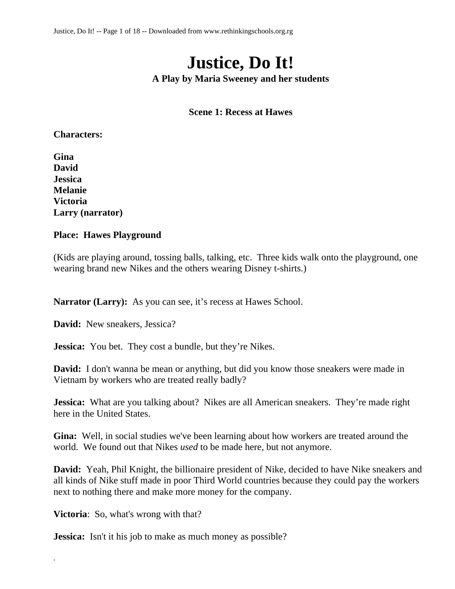# **Justice, Do It! A Play by Maria Sweeney and her students**

**Scene 1: Recess at Hawes**

#### **Characters:**

**Gina David Jessica Melanie Victoria Larry (narrator)**

#### **Place: Hawes Playground**

(Kids are playing around, tossing balls, talking, etc. Three kids walk onto the playground, one wearing brand new Nikes and the others wearing Disney t-shirts.)

**Narrator (Larry):** As you can see, it's recess at Hawes School.

**David:** New sneakers, Jessica?

**Jessica:** You bet. They cost a bundle, but they're Nikes.

**David:** I don't wanna be mean or anything, but did you know those sneakers were made in Vietnam by workers who are treated really badly?

**Jessica:** What are you talking about? Nikes are all American sneakers. They're made right here in the United States.

**Gina:** Well, in social studies we've been learning about how workers are treated around the world. We found out that Nikes *used* to be made here, but not anymore.

**David:** Yeah, Phil Knight, the billionaire president of Nike, decided to have Nike sneakers and all kinds of Nike stuff made in poor Third World countries because they could pay the workers next to nothing there and make more money for the company.

**Victoria**: So, what's wrong with that?

.

**Jessica:** Isn't it his job to make as much money as possible?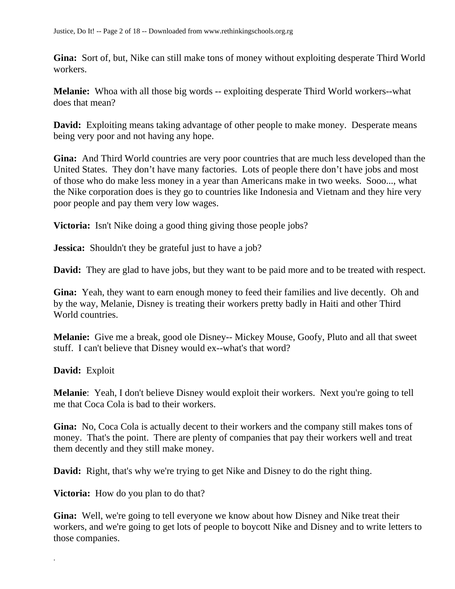**Gina:** Sort of, but, Nike can still make tons of money without exploiting desperate Third World workers.

**Melanie:** Whoa with all those big words -- exploiting desperate Third World workers--what does that mean?

**David:** Exploiting means taking advantage of other people to make money. Desperate means being very poor and not having any hope.

**Gina:** And Third World countries are very poor countries that are much less developed than the United States. They don't have many factories. Lots of people there don't have jobs and most of those who do make less money in a year than Americans make in two weeks. Sooo..., what the Nike corporation does is they go to countries like Indonesia and Vietnam and they hire very poor people and pay them very low wages.

**Victoria:** Isn't Nike doing a good thing giving those people jobs?

**Jessica:** Shouldn't they be grateful just to have a job?

**David:** They are glad to have jobs, but they want to be paid more and to be treated with respect.

**Gina:** Yeah, they want to earn enough money to feed their families and live decently. Oh and by the way, Melanie, Disney is treating their workers pretty badly in Haiti and other Third World countries.

**Melanie:** Give me a break, good ole Disney-- Mickey Mouse, Goofy, Pluto and all that sweet stuff. I can't believe that Disney would ex--what's that word?

**David:** Exploit

.

Melanie: Yeah, I don't believe Disney would exploit their workers. Next you're going to tell me that Coca Cola is bad to their workers.

**Gina:** No, Coca Cola is actually decent to their workers and the company still makes tons of money. That's the point. There are plenty of companies that pay their workers well and treat them decently and they still make money.

**David:** Right, that's why we're trying to get Nike and Disney to do the right thing.

**Victoria:** How do you plan to do that?

**Gina:** Well, we're going to tell everyone we know about how Disney and Nike treat their workers, and we're going to get lots of people to boycott Nike and Disney and to write letters to those companies.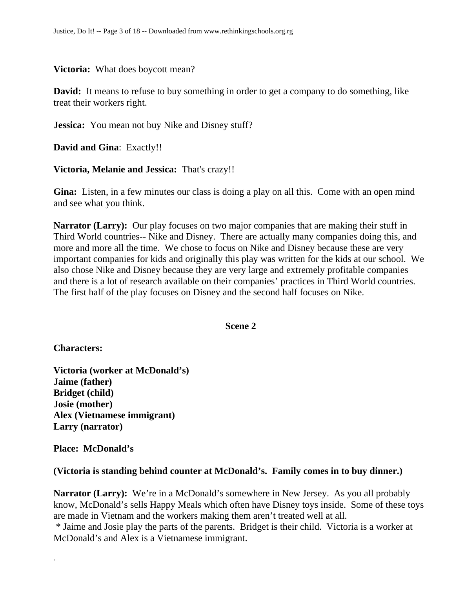**Victoria:** What does boycott mean?

**David:** It means to refuse to buy something in order to get a company to do something, like treat their workers right.

**Jessica:** You mean not buy Nike and Disney stuff?

**David and Gina**: Exactly!!

**Victoria, Melanie and Jessica:** That's crazy!!

**Gina:** Listen, in a few minutes our class is doing a play on all this. Come with an open mind and see what you think.

**Narrator (Larry):** Our play focuses on two major companies that are making their stuff in Third World countries-- Nike and Disney. There are actually many companies doing this, and more and more all the time. We chose to focus on Nike and Disney because these are very important companies for kids and originally this play was written for the kids at our school. We also chose Nike and Disney because they are very large and extremely profitable companies and there is a lot of research available on their companies' practices in Third World countries. The first half of the play focuses on Disney and the second half focuses on Nike.

#### **Scene 2**

**Characters:**

**Victoria (worker at McDonald's) Jaime (father) Bridget (child) Josie (mother) Alex (Vietnamese immigrant) Larry (narrator)**

**Place: McDonald's**

.

#### **(Victoria is standing behind counter at McDonald's. Family comes in to buy dinner.)**

**Narrator (Larry):** We're in a McDonald's somewhere in New Jersey. As you all probably know, McDonald's sells Happy Meals which often have Disney toys inside. Some of these toys are made in Vietnam and the workers making them aren't treated well at all.

 \* Jaime and Josie play the parts of the parents. Bridget is their child. Victoria is a worker at McDonald's and Alex is a Vietnamese immigrant.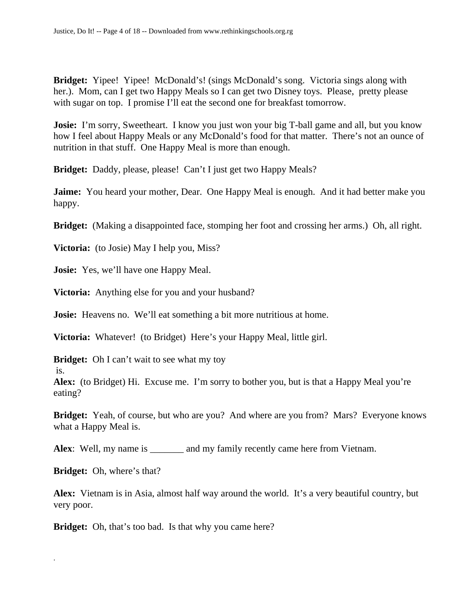**Bridget:** Yipee! Yipee! McDonald's! (sings McDonald's song. Victoria sings along with her.). Mom, can I get two Happy Meals so I can get two Disney toys. Please, pretty please with sugar on top. I promise I'll eat the second one for breakfast tomorrow.

**Josie:** I'm sorry, Sweetheart. I know you just won your big T-ball game and all, but you know how I feel about Happy Meals or any McDonald's food for that matter. There's not an ounce of nutrition in that stuff. One Happy Meal is more than enough.

**Bridget:** Daddy, please, please! Can't I just get two Happy Meals?

**Jaime:** You heard your mother, Dear. One Happy Meal is enough. And it had better make you happy.

**Bridget:** (Making a disappointed face, stomping her foot and crossing her arms.) Oh, all right.

**Victoria:** (to Josie) May I help you, Miss?

**Josie:** Yes, we'll have one Happy Meal.

**Victoria:** Anything else for you and your husband?

**Josie:** Heavens no. We'll eat something a bit more nutritious at home.

**Victoria:** Whatever! (to Bridget) Here's your Happy Meal, little girl.

**Bridget:** Oh I can't wait to see what my toy

is.

.

**Alex:** (to Bridget) Hi. Excuse me. I'm sorry to bother you, but is that a Happy Meal you're eating?

**Bridget:** Yeah, of course, but who are you? And where are you from? Mars? Everyone knows what a Happy Meal is.

Alex: Well, my name is \_\_\_\_\_\_\_ and my family recently came here from Vietnam.

**Bridget:** Oh, where's that?

**Alex:** Vietnam is in Asia, almost half way around the world. It's a very beautiful country, but very poor.

**Bridget:** Oh, that's too bad. Is that why you came here?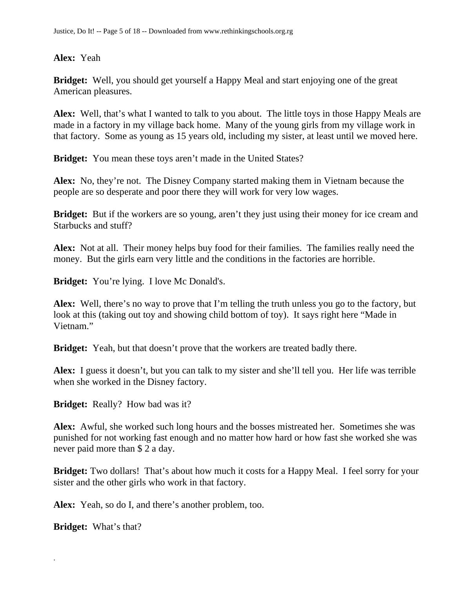## **Alex:** Yeah

**Bridget:** Well, you should get yourself a Happy Meal and start enjoying one of the great American pleasures.

**Alex:** Well, that's what I wanted to talk to you about. The little toys in those Happy Meals are made in a factory in my village back home. Many of the young girls from my village work in that factory. Some as young as 15 years old, including my sister, at least until we moved here.

**Bridget:** You mean these toys aren't made in the United States?

**Alex:** No, they're not. The Disney Company started making them in Vietnam because the people are so desperate and poor there they will work for very low wages.

**Bridget:** But if the workers are so young, aren't they just using their money for ice cream and Starbucks and stuff?

**Alex:** Not at all. Their money helps buy food for their families. The families really need the money. But the girls earn very little and the conditions in the factories are horrible.

**Bridget:** You're lying. I love Mc Donald's.

**Alex:** Well, there's no way to prove that I'm telling the truth unless you go to the factory, but look at this (taking out toy and showing child bottom of toy). It says right here "Made in Vietnam."

**Bridget:** Yeah, but that doesn't prove that the workers are treated badly there.

**Alex:** I guess it doesn't, but you can talk to my sister and she'll tell you. Her life was terrible when she worked in the Disney factory.

**Bridget:** Really? How bad was it?

**Alex:** Awful, she worked such long hours and the bosses mistreated her. Sometimes she was punished for not working fast enough and no matter how hard or how fast she worked she was never paid more than \$ 2 a day.

**Bridget:** Two dollars! That's about how much it costs for a Happy Meal. I feel sorry for your sister and the other girls who work in that factory.

**Alex:** Yeah, so do I, and there's another problem, too.

**Bridget:** What's that?

.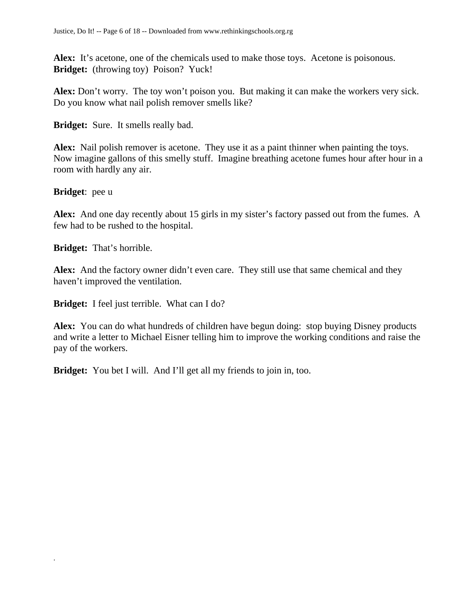**Alex:** It's acetone, one of the chemicals used to make those toys. Acetone is poisonous. **Bridget:** (throwing toy) Poison? Yuck!

Alex: Don't worry. The toy won't poison you. But making it can make the workers very sick. Do you know what nail polish remover smells like?

**Bridget:** Sure. It smells really bad.

**Alex:** Nail polish remover is acetone. They use it as a paint thinner when painting the toys. Now imagine gallons of this smelly stuff. Imagine breathing acetone fumes hour after hour in a room with hardly any air.

**Bridget**: pee u

.

**Alex:** And one day recently about 15 girls in my sister's factory passed out from the fumes. A few had to be rushed to the hospital.

**Bridget:** That's horrible.

**Alex:** And the factory owner didn't even care. They still use that same chemical and they haven't improved the ventilation.

**Bridget:** I feel just terrible. What can I do?

**Alex:** You can do what hundreds of children have begun doing: stop buying Disney products and write a letter to Michael Eisner telling him to improve the working conditions and raise the pay of the workers.

**Bridget:** You bet I will. And I'll get all my friends to join in, too.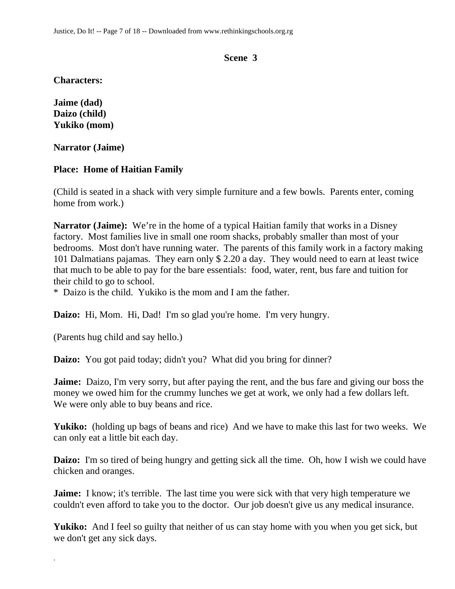#### **Scene 3**

## **Characters:**

**Jaime (dad) Daizo (child) Yukiko (mom)**

## **Narrator (Jaime)**

## **Place: Home of Haitian Family**

(Child is seated in a shack with very simple furniture and a few bowls. Parents enter, coming home from work.)

**Narrator (Jaime):** We're in the home of a typical Haitian family that works in a Disney factory. Most families live in small one room shacks, probably smaller than most of your bedrooms. Most don't have running water. The parents of this family work in a factory making 101 Dalmatians pajamas. They earn only \$ 2.20 a day. They would need to earn at least twice that much to be able to pay for the bare essentials: food, water, rent, bus fare and tuition for their child to go to school.

\* Daizo is the child. Yukiko is the mom and I am the father.

**Daizo:** Hi, Mom. Hi, Dad! I'm so glad you're home. I'm very hungry.

(Parents hug child and say hello.)

.

**Daizo:** You got paid today; didn't you? What did you bring for dinner?

**Jaime:** Daizo, I'm very sorry, but after paying the rent, and the bus fare and giving our boss the money we owed him for the crummy lunches we get at work, we only had a few dollars left. We were only able to buy beans and rice.

Yukiko: (holding up bags of beans and rice) And we have to make this last for two weeks. We can only eat a little bit each day.

**Daizo:** I'm so tired of being hungry and getting sick all the time. Oh, how I wish we could have chicken and oranges.

**Jaime:** I know; it's terrible. The last time you were sick with that very high temperature we couldn't even afford to take you to the doctor. Our job doesn't give us any medical insurance.

**Yukiko:** And I feel so guilty that neither of us can stay home with you when you get sick, but we don't get any sick days.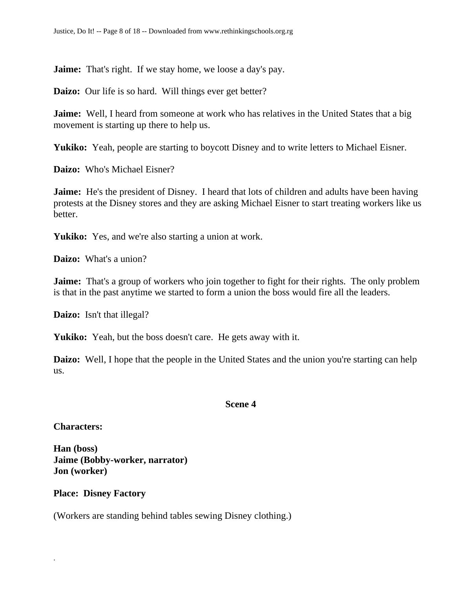**Jaime:** That's right. If we stay home, we loose a day's pay.

**Daizo:** Our life is so hard. Will things ever get better?

**Jaime:** Well, I heard from someone at work who has relatives in the United States that a big movement is starting up there to help us.

Yukiko: Yeah, people are starting to boycott Disney and to write letters to Michael Eisner.

**Daizo:** Who's Michael Eisner?

**Jaime:** He's the president of Disney. I heard that lots of children and adults have been having protests at the Disney stores and they are asking Michael Eisner to start treating workers like us better.

Yukiko: Yes, and we're also starting a union at work.

**Daizo:** What's a union?

**Jaime:** That's a group of workers who join together to fight for their rights. The only problem is that in the past anytime we started to form a union the boss would fire all the leaders.

**Daizo:** Isn't that illegal?

**Yukiko:** Yeah, but the boss doesn't care. He gets away with it.

**Daizo:** Well, I hope that the people in the United States and the union you're starting can help us.

#### **Scene 4**

**Characters:**

.

**Han (boss) Jaime (Bobby-worker, narrator) Jon (worker)**

**Place: Disney Factory**

(Workers are standing behind tables sewing Disney clothing.)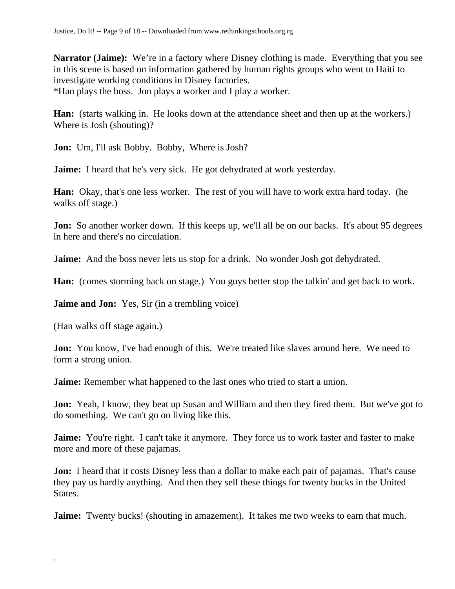**Narrator (Jaime):** We're in a factory where Disney clothing is made. Everything that you see in this scene is based on information gathered by human rights groups who went to Haiti to investigate working conditions in Disney factories. \*Han plays the boss. Jon plays a worker and I play a worker.

Han: (starts walking in. He looks down at the attendance sheet and then up at the workers.) Where is Josh (shouting)?

**Jon:** Um, I'll ask Bobby. Bobby, Where is Josh?

**Jaime:** I heard that he's very sick. He got dehydrated at work yesterday.

**Han:** Okay, that's one less worker. The rest of you will have to work extra hard today. (he walks off stage.)

**Jon:** So another worker down. If this keeps up, we'll all be on our backs. It's about 95 degrees in here and there's no circulation.

**Jaime:** And the boss never lets us stop for a drink. No wonder Josh got dehydrated.

**Han:** (comes storming back on stage.) You guys better stop the talkin' and get back to work.

**Jaime and Jon:** Yes, Sir (in a trembling voice)

(Han walks off stage again.)

.

Jon: You know, I've had enough of this. We're treated like slaves around here. We need to form a strong union.

**Jaime:** Remember what happened to the last ones who tried to start a union.

**Jon:** Yeah, I know, they beat up Susan and William and then they fired them. But we've got to do something. We can't go on living like this.

Jaime: You're right. I can't take it anymore. They force us to work faster and faster to make more and more of these pajamas.

**Jon:** I heard that it costs Disney less than a dollar to make each pair of pajamas. That's cause they pay us hardly anything. And then they sell these things for twenty bucks in the United States.

**Jaime:** Twenty bucks! (shouting in amazement). It takes me two weeks to earn that much.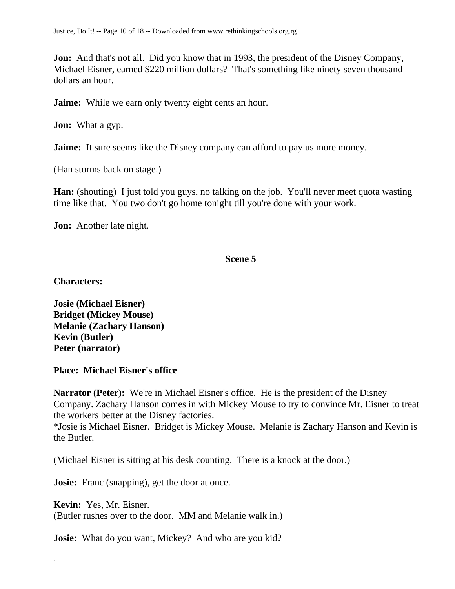**Jon:** And that's not all. Did you know that in 1993, the president of the Disney Company, Michael Eisner, earned \$220 million dollars? That's something like ninety seven thousand dollars an hour.

**Jaime:** While we earn only twenty eight cents an hour.

**Jon:** What a gyp.

**Jaime:** It sure seems like the Disney company can afford to pay us more money.

(Han storms back on stage.)

**Han:** (shouting) I just told you guys, no talking on the job. You'll never meet quota wasting time like that. You two don't go home tonight till you're done with your work.

**Jon:** Another late night.

## **Scene 5**

**Characters:**

.

**Josie (Michael Eisner) Bridget (Mickey Mouse) Melanie (Zachary Hanson) Kevin (Butler) Peter (narrator)**

**Place: Michael Eisner's office**

**Narrator (Peter):** We're in Michael Eisner's office. He is the president of the Disney Company. Zachary Hanson comes in with Mickey Mouse to try to convince Mr. Eisner to treat the workers better at the Disney factories. \*Josie is Michael Eisner. Bridget is Mickey Mouse. Melanie is Zachary Hanson and Kevin is the Butler.

(Michael Eisner is sitting at his desk counting. There is a knock at the door.)

**Josie:** Franc (snapping), get the door at once.

**Kevin:** Yes, Mr. Eisner. (Butler rushes over to the door. MM and Melanie walk in.)

**Josie:** What do you want, Mickey? And who are you kid?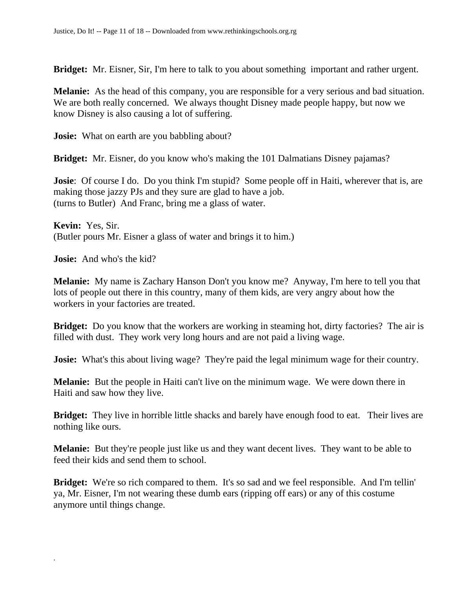**Bridget:** Mr. Eisner, Sir, I'm here to talk to you about something important and rather urgent.

**Melanie:** As the head of this company, you are responsible for a very serious and bad situation. We are both really concerned. We always thought Disney made people happy, but now we know Disney is also causing a lot of suffering.

**Josie:** What on earth are you babbling about?

**Bridget:** Mr. Eisner, do you know who's making the 101 Dalmatians Disney pajamas?

**Josie**: Of course I do. Do you think I'm stupid? Some people off in Haiti, wherever that is, are making those jazzy PJs and they sure are glad to have a job. (turns to Butler) And Franc, bring me a glass of water.

**Kevin:** Yes, Sir. (Butler pours Mr. Eisner a glass of water and brings it to him.)

**Josie:** And who's the kid?

.

**Melanie:** My name is Zachary Hanson Don't you know me? Anyway, I'm here to tell you that lots of people out there in this country, many of them kids, are very angry about how the workers in your factories are treated.

**Bridget:** Do you know that the workers are working in steaming hot, dirty factories? The air is filled with dust. They work very long hours and are not paid a living wage.

**Josie:** What's this about living wage? They're paid the legal minimum wage for their country.

**Melanie:** But the people in Haiti can't live on the minimum wage. We were down there in Haiti and saw how they live.

**Bridget:** They live in horrible little shacks and barely have enough food to eat. Their lives are nothing like ours.

**Melanie:** But they're people just like us and they want decent lives. They want to be able to feed their kids and send them to school.

**Bridget:** We're so rich compared to them. It's so sad and we feel responsible. And I'm tellin' ya, Mr. Eisner, I'm not wearing these dumb ears (ripping off ears) or any of this costume anymore until things change.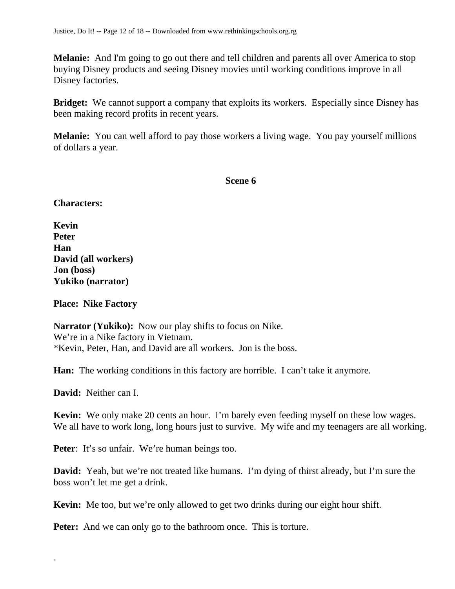**Melanie:** And I'm going to go out there and tell children and parents all over America to stop buying Disney products and seeing Disney movies until working conditions improve in all Disney factories.

**Bridget:** We cannot support a company that exploits its workers. Especially since Disney has been making record profits in recent years.

**Melanie:** You can well afford to pay those workers a living wage. You pay yourself millions of dollars a year.

**Scene 6**

**Characters:**

**Kevin Peter Han David (all workers) Jon (boss) Yukiko (narrator)**

**Place: Nike Factory**

**Narrator (Yukiko):** Now our play shifts to focus on Nike. We're in a Nike factory in Vietnam. \*Kevin, Peter, Han, and David are all workers. Jon is the boss.

**Han:** The working conditions in this factory are horrible. I can't take it anymore.

**David:** Neither can I.

.

**Kevin:** We only make 20 cents an hour. I'm barely even feeding myself on these low wages. We all have to work long, long hours just to survive. My wife and my teenagers are all working.

**Peter**: It's so unfair. We're human beings too.

**David:** Yeah, but we're not treated like humans. I'm dying of thirst already, but I'm sure the boss won't let me get a drink.

**Kevin:** Me too, but we're only allowed to get two drinks during our eight hour shift.

**Peter:** And we can only go to the bathroom once. This is torture.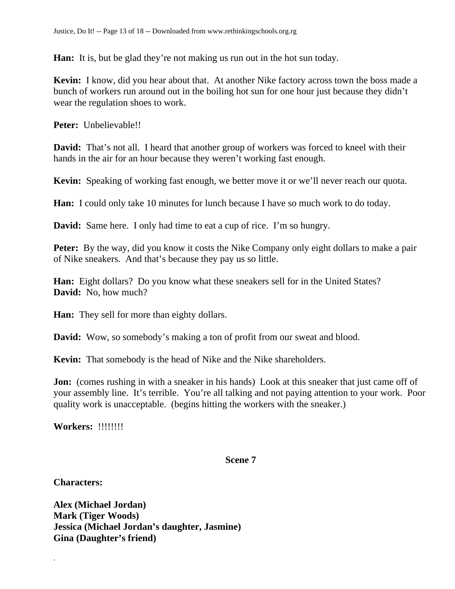**Han:** It is, but be glad they're not making us run out in the hot sun today.

**Kevin:** I know, did you hear about that. At another Nike factory across town the boss made a bunch of workers run around out in the boiling hot sun for one hour just because they didn't wear the regulation shoes to work.

**Peter:** Unbelievable!!

**David:** That's not all. I heard that another group of workers was forced to kneel with their hands in the air for an hour because they weren't working fast enough.

**Kevin:** Speaking of working fast enough, we better move it or we'll never reach our quota.

**Han:** I could only take 10 minutes for lunch because I have so much work to do today.

**David:** Same here. I only had time to eat a cup of rice. I'm so hungry.

**Peter:** By the way, did you know it costs the Nike Company only eight dollars to make a pair of Nike sneakers. And that's because they pay us so little.

**Han:** Eight dollars? Do you know what these sneakers sell for in the United States? **David:** No, how much?

**Han:** They sell for more than eighty dollars.

**David:** Wow, so somebody's making a ton of profit from our sweat and blood.

**Kevin:** That somebody is the head of Nike and the Nike shareholders.

**Jon:** (comes rushing in with a sneaker in his hands) Look at this sneaker that just came off of your assembly line. It's terrible. You're all talking and not paying attention to your work. Poor quality work is unacceptable. (begins hitting the workers with the sneaker.)

**Workers:** !!!!!!!!

#### **Scene 7**

**Characters:**

.

**Alex (Michael Jordan) Mark (Tiger Woods) Jessica (Michael Jordan's daughter, Jasmine) Gina (Daughter's friend)**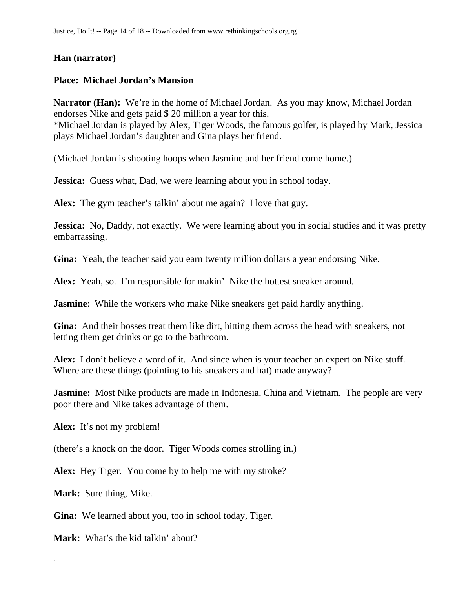# **Han (narrator)**

## **Place: Michael Jordan's Mansion**

**Narrator (Han):** We're in the home of Michael Jordan. As you may know, Michael Jordan endorses Nike and gets paid \$ 20 million a year for this. \*Michael Jordan is played by Alex, Tiger Woods, the famous golfer, is played by Mark, Jessica plays Michael Jordan's daughter and Gina plays her friend.

(Michael Jordan is shooting hoops when Jasmine and her friend come home.)

**Jessica:** Guess what, Dad, we were learning about you in school today.

**Alex:** The gym teacher's talkin' about me again? I love that guy.

**Jessica:** No, Daddy, not exactly. We were learning about you in social studies and it was pretty embarrassing.

**Gina:** Yeah, the teacher said you earn twenty million dollars a year endorsing Nike.

**Alex:** Yeah, so. I'm responsible for makin' Nike the hottest sneaker around.

**Jasmine**: While the workers who make Nike sneakers get paid hardly anything.

**Gina:** And their bosses treat them like dirt, hitting them across the head with sneakers, not letting them get drinks or go to the bathroom.

**Alex:** I don't believe a word of it. And since when is your teacher an expert on Nike stuff. Where are these things (pointing to his sneakers and hat) made anyway?

**Jasmine:** Most Nike products are made in Indonesia, China and Vietnam. The people are very poor there and Nike takes advantage of them.

**Alex:** It's not my problem!

(there's a knock on the door. Tiger Woods comes strolling in.)

**Alex:** Hey Tiger. You come by to help me with my stroke?

**Mark:** Sure thing, Mike.

.

**Gina:** We learned about you, too in school today, Tiger.

**Mark:** What's the kid talkin' about?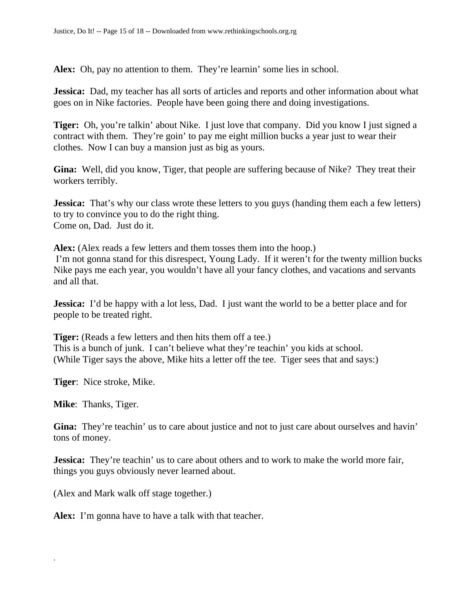Alex: Oh, pay no attention to them. They're learnin' some lies in school.

**Jessica:** Dad, my teacher has all sorts of articles and reports and other information about what goes on in Nike factories. People have been going there and doing investigations.

**Tiger:** Oh, you're talkin' about Nike. I just love that company. Did you know I just signed a contract with them. They're goin' to pay me eight million bucks a year just to wear their clothes. Now I can buy a mansion just as big as yours.

**Gina:** Well, did you know, Tiger, that people are suffering because of Nike? They treat their workers terribly.

**Jessica:** That's why our class wrote these letters to you guys (handing them each a few letters) to try to convince you to do the right thing. Come on, Dad. Just do it.

**Alex:** (Alex reads a few letters and them tosses them into the hoop.)

 I'm not gonna stand for this disrespect, Young Lady. If it weren't for the twenty million bucks Nike pays me each year, you wouldn't have all your fancy clothes, and vacations and servants and all that.

**Jessica:** I'd be happy with a lot less, Dad. I just want the world to be a better place and for people to be treated right.

**Tiger:** (Reads a few letters and then hits them off a tee.) This is a bunch of junk. I can't believe what they're teachin' you kids at school. (While Tiger says the above, Mike hits a letter off the tee. Tiger sees that and says:)

**Tiger**: Nice stroke, Mike.

**Mike**: Thanks, Tiger.

.

**Gina:** They're teachin' us to care about justice and not to just care about ourselves and havin' tons of money.

**Jessica:** They're teachin' us to care about others and to work to make the world more fair, things you guys obviously never learned about.

(Alex and Mark walk off stage together.)

**Alex:** I'm gonna have to have a talk with that teacher.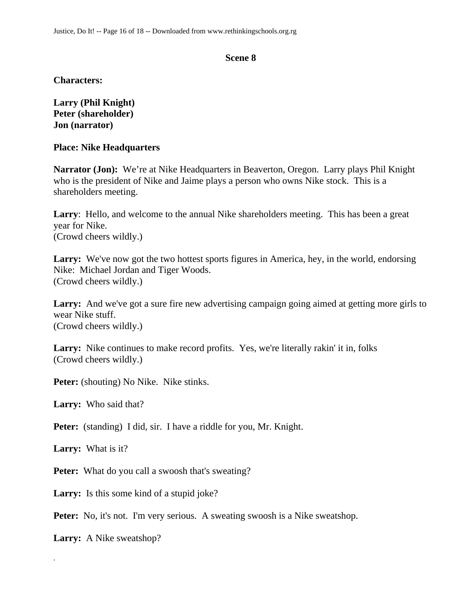## **Scene 8**

## **Characters:**

**Larry (Phil Knight) Peter (shareholder) Jon (narrator)**

## **Place: Nike Headquarters**

**Narrator (Jon):** We're at Nike Headquarters in Beaverton, Oregon. Larry plays Phil Knight who is the president of Nike and Jaime plays a person who owns Nike stock. This is a shareholders meeting.

Larry: Hello, and welcome to the annual Nike shareholders meeting. This has been a great year for Nike. (Crowd cheers wildly.)

Larry: We've now got the two hottest sports figures in America, hey, in the world, endorsing Nike: Michael Jordan and Tiger Woods. (Crowd cheers wildly.)

Larry: And we've got a sure fire new advertising campaign going aimed at getting more girls to wear Nike stuff. (Crowd cheers wildly.)

Larry: Nike continues to make record profits. Yes, we're literally rakin' it in, folks (Crowd cheers wildly.)

**Peter:** (shouting) No Nike. Nike stinks.

**Larry:** Who said that?

**Peter:** (standing) I did, sir. I have a riddle for you, Mr. Knight.

**Larry:** What is it?

**Peter:** What do you call a swoosh that's sweating?

Larry: Is this some kind of a stupid joke?

**Peter:** No, it's not. I'm very serious. A sweating swoosh is a Nike sweatshop.

**Larry:** A Nike sweatshop?

.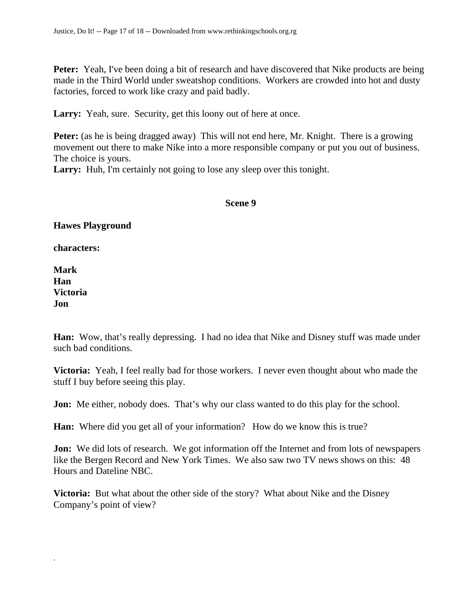**Peter:** Yeah, I've been doing a bit of research and have discovered that Nike products are being made in the Third World under sweatshop conditions. Workers are crowded into hot and dusty factories, forced to work like crazy and paid badly.

Larry: Yeah, sure. Security, get this loony out of here at once.

**Peter:** (as he is being dragged away) This will not end here, Mr. Knight. There is a growing movement out there to make Nike into a more responsible company or put you out of business. The choice is yours.

Larry: Huh, I'm certainly not going to lose any sleep over this tonight.

## **Scene 9**

**Hawes Playground**

**characters:**

**Mark Han Victoria Jon**

.

**Han:** Wow, that's really depressing. I had no idea that Nike and Disney stuff was made under such bad conditions.

**Victoria:** Yeah, I feel really bad for those workers. I never even thought about who made the stuff I buy before seeing this play.

**Jon:** Me either, nobody does. That's why our class wanted to do this play for the school.

**Han:** Where did you get all of your information? How do we know this is true?

**Jon:** We did lots of research. We got information off the Internet and from lots of newspapers like the Bergen Record and New York Times. We also saw two TV news shows on this: 48 Hours and Dateline NBC.

**Victoria:** But what about the other side of the story? What about Nike and the Disney Company's point of view?